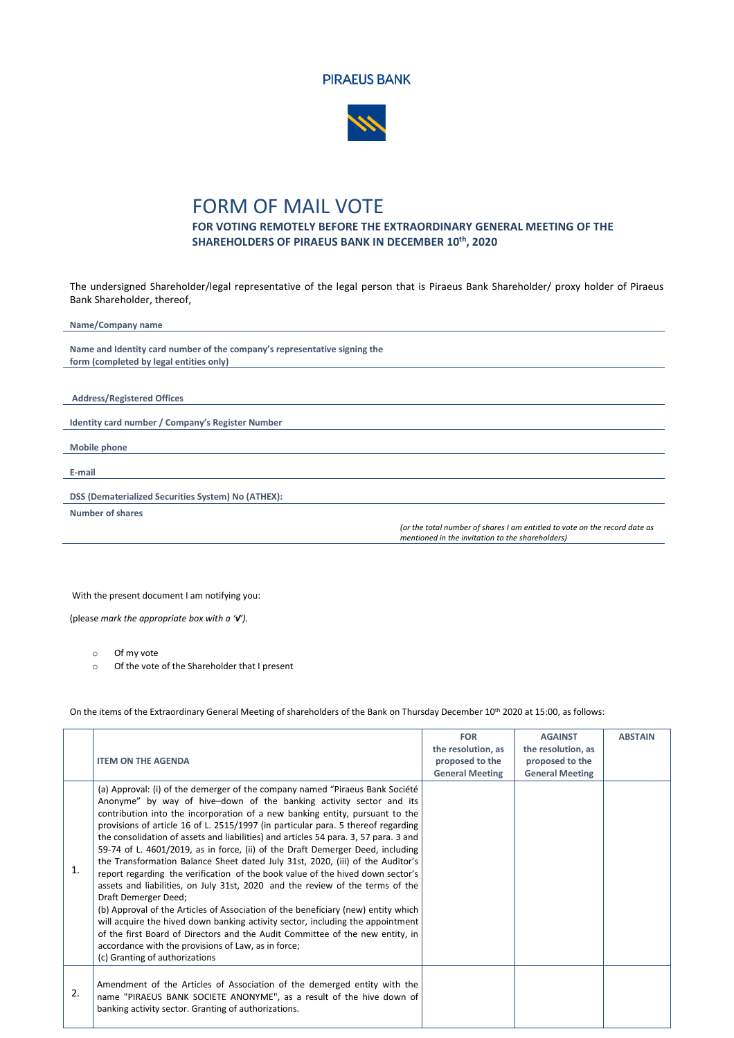



## FORM OF MAIL VOTE

**FOR VOTING REMOTELY BEFORE THE EXTRAORDINARY GENERAL MEETING OF THE SHAREHOLDERS OF PIRAEUS BANK IN DECEMBER 10 th, 2020**

The undersigned Shareholder/legal representative of the legal person that is Piraeus Bank Shareholder/ proxy holder of Piraeus Bank Shareholder, thereof,

| Name/Company name                                                         |                                                                                                                                |
|---------------------------------------------------------------------------|--------------------------------------------------------------------------------------------------------------------------------|
|                                                                           |                                                                                                                                |
| Name and Identity card number of the company's representative signing the |                                                                                                                                |
| form (completed by legal entities only)                                   |                                                                                                                                |
|                                                                           |                                                                                                                                |
|                                                                           |                                                                                                                                |
| <b>Address/Registered Offices</b>                                         |                                                                                                                                |
|                                                                           |                                                                                                                                |
| Identity card number / Company's Register Number                          |                                                                                                                                |
|                                                                           |                                                                                                                                |
| Mobile phone                                                              |                                                                                                                                |
|                                                                           |                                                                                                                                |
| E-mail                                                                    |                                                                                                                                |
|                                                                           |                                                                                                                                |
| DSS (Dematerialized Securities System) No (ATHEX):                        |                                                                                                                                |
| Number of shares                                                          |                                                                                                                                |
|                                                                           | (or the total number of shares I am entitled to vote on the record date as<br>mentioned in the invitation to the shareholders) |
|                                                                           |                                                                                                                                |

With the present document I am notifying you:

(please *mark the appropriate box with a '√').* 

o Of my vote

o Of the vote of the Shareholder that I present

On the items of the Extraordinary General Meeting of shareholders of the Bank on Thursday December 10<sup>th</sup> 2020 at 15:00, as follows:

|    |                                                                                                                                                                                                                                                                                                                                                                                                                                                                                                                                                                                                                                                                                                                                                                                                                                                                                                                                                                                                                                                                                                                                  | <b>FOR</b>                            | <b>AGAINST</b>                        | <b>ABSTAIN</b> |
|----|----------------------------------------------------------------------------------------------------------------------------------------------------------------------------------------------------------------------------------------------------------------------------------------------------------------------------------------------------------------------------------------------------------------------------------------------------------------------------------------------------------------------------------------------------------------------------------------------------------------------------------------------------------------------------------------------------------------------------------------------------------------------------------------------------------------------------------------------------------------------------------------------------------------------------------------------------------------------------------------------------------------------------------------------------------------------------------------------------------------------------------|---------------------------------------|---------------------------------------|----------------|
|    | <b>ITEM ON THE AGENDA</b>                                                                                                                                                                                                                                                                                                                                                                                                                                                                                                                                                                                                                                                                                                                                                                                                                                                                                                                                                                                                                                                                                                        | the resolution, as<br>proposed to the | the resolution, as<br>proposed to the |                |
|    |                                                                                                                                                                                                                                                                                                                                                                                                                                                                                                                                                                                                                                                                                                                                                                                                                                                                                                                                                                                                                                                                                                                                  | <b>General Meeting</b>                | <b>General Meeting</b>                |                |
| 1. | (a) Approval: (i) of the demerger of the company named "Piraeus Bank Société<br>Anonyme" by way of hive-down of the banking activity sector and its<br>contribution into the incorporation of a new banking entity, pursuant to the<br>provisions of article 16 of L. 2515/1997 (in particular para. 5 thereof regarding<br>the consolidation of assets and liabilities) and articles 54 para. 3, 57 para. 3 and<br>59-74 of L. 4601/2019, as in force, (ii) of the Draft Demerger Deed, including<br>the Transformation Balance Sheet dated July 31st, 2020, (iii) of the Auditor's<br>report regarding the verification of the book value of the hived down sector's<br>assets and liabilities, on July 31st, 2020 and the review of the terms of the<br>Draft Demerger Deed;<br>(b) Approval of the Articles of Association of the beneficiary (new) entity which<br>will acquire the hived down banking activity sector, including the appointment<br>of the first Board of Directors and the Audit Committee of the new entity, in<br>accordance with the provisions of Law, as in force;<br>(c) Granting of authorizations |                                       |                                       |                |
| 2. | Amendment of the Articles of Association of the demerged entity with the<br>name "PIRAEUS BANK SOCIETE ANONYME", as a result of the hive down of<br>banking activity sector. Granting of authorizations.                                                                                                                                                                                                                                                                                                                                                                                                                                                                                                                                                                                                                                                                                                                                                                                                                                                                                                                         |                                       |                                       |                |